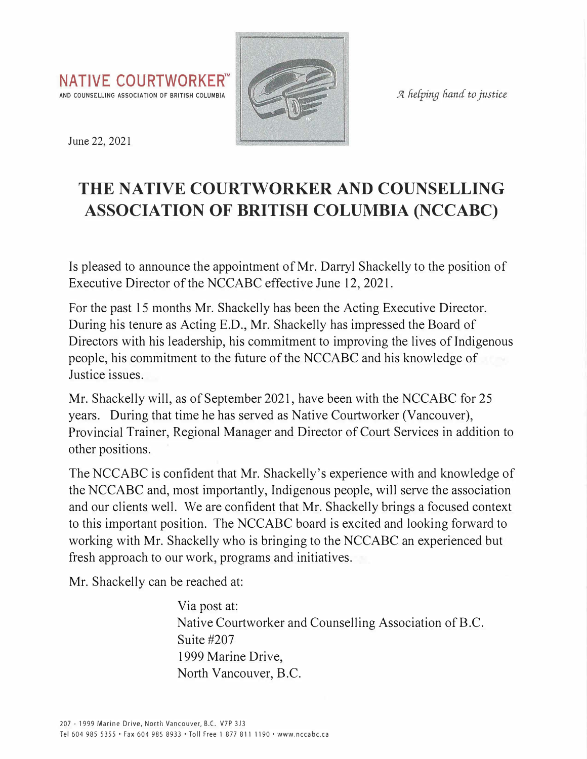



June 22, 2021

## **THE NATIVE COURTWORKER AND COUNSELLING ASSOCIATION OF BRITISH COLUMBIA (NCCABC)**

Is pleased to announce the appointment of Mr. Darryl Shackelly to the position of Executive Director of the NCCABC effective June 12, 2021.

For the past 15 months Mr. Shackelly has been the Acting Executive Director. During his tenure as Acting E.D., Mr. Shackelly has impressed the Board of Directors with his leadership, his commitment to improving the lives of Indigenous people, his commitment to the future of the NCCABC and his knowledge of Justice issues.

Mr. Shackelly will, as of September 2021, have been with the NCCABC for 25 years. During that time he has served as Native Courtworker (Vancouver), Provincial Trainer, Regional Manager and Director of Court Services in addition to other positions.

The NCCABC is confident that Mr. Shackelly's experience with and knowledge of the NCCABC and, most importantly, Indigenous people, will serve the association and our clients well. We are confident that Mr. Shackelly brings a focused context to this important position. The NCCABC board is excited and looking forward to working with Mr. Shackelly who is bringing to the NCCABC an experienced but fresh approach to our work, programs and initiatives.

Mr. Shackelly can be reached at:

Via post at: Native Courtworker and Counselling Association of B.C. Suite #207 1999 Marine Drive, North Vancouver, B.C.